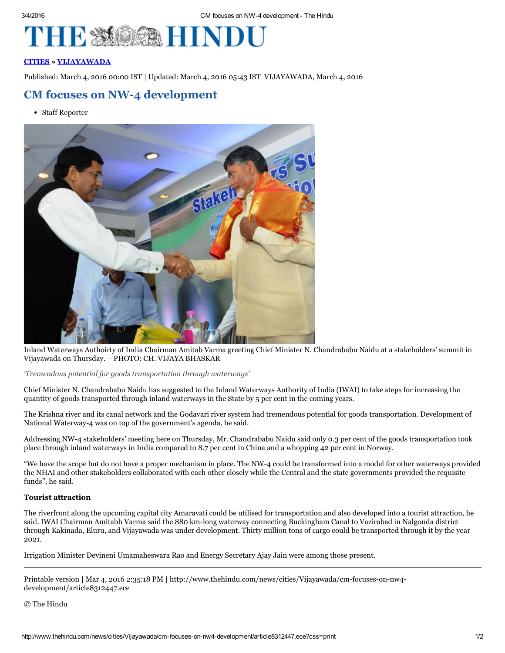

## [CITIES](http://www.thehindu.com/news/cities/) » [VIJAYAWADA](http://www.thehindu.com/news/cities/Vijayawada/)

Published: March 4, 2016 00:00 IST | Updated: March 4, 2016 05:43 IST VIJAYAWADA, March 4, 2016

## CM focuses on NW-4 development

Staff Reporter



Inland Waterways Authoirty of India Chairman Amitab Varma greeting Chief Minister N. Chandrababu Naidu at a stakeholders' summit in Vijayawada on Thursday. —PHOTO: CH. VIJAYA BHASKAR

'Tremendous potential for goods transportation through waterways'

Chief Minister N. Chandrababu Naidu has suggested to the Inland Waterways Authority of India (IWAI) to take steps for increasing the quantity of goods transported through inland waterways in the State by 5 per cent in the coming years.

The Krishna river and its canal network and the Godavari river system had tremendous potential for goods transportation. Development of National Waterway-4 was on top of the government's agenda, he said.

Addressing NW-4 stakeholders' meeting here on Thursday, Mr. Chandrababu Naidu said only 0.3 per cent of the goods transportation took place through inland waterways in India compared to 8.7 per cent in China and a whopping 42 per cent in Norway.

"We have the scope but do not have a proper mechanism in place. The NW4 could be transformed into a model for other waterways provided the NHAI and other stakeholders collaborated with each other closely while the Central and the state governments provided the requisite funds", he said.

## Tourist attraction

The riverfront along the upcoming capital city Amaravati could be utilised for transportation and also developed into a tourist attraction, he said. IWAI Chairman Amitabh Varma said the 880 km-long waterway connecting Buckingham Canal to Vazirabad in Nalgonda district through Kakinada, Eluru, and Vijayawada was under development. Thirty million tons of cargo could be transported through it by the year 2021.

Irrigation Minister Devineni Umamaheswara Rao and Energy Secretary Ajay Jain were among those present.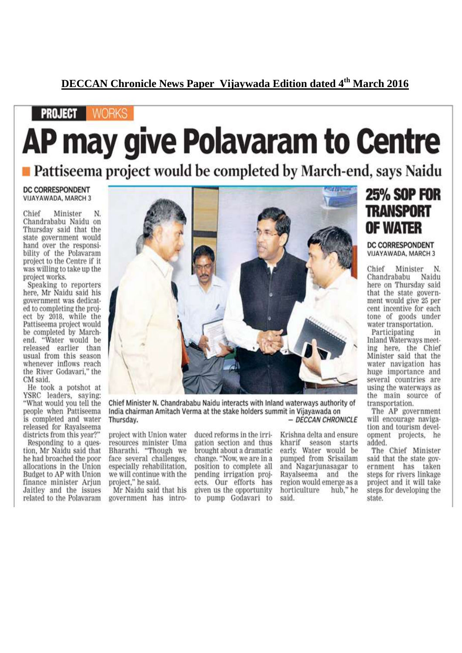## **PROJECT WORKS** AP may give Polavaram to Centre Pattiseema project would be completed by March-end, says Naidu

## **DC CORRESPONDENT** VIJAYAWADA, MARCH 3

Minister Chief N Chandrababu Naidu on Thursday said that the state government would hand over the responsibility of the Polavaram project to the Centre if it was willing to take up the project works.

Speaking to reporters here, Mr Naidu said his government was dedicated to completing the project by 2018, while the Pattiseema project would be completed by Marchend. "Water would be released earlier than usual from this season whenever inflows reach the River Godavari." the CM said.

He took a potshot at<br>YSRC leaders, saying: "What would you tell the people when Pattiseema is completed and water released for Ravalseema districts from this year?"

Responding to a question, Mr Naidu said that he had broached the poor allocations in the Union Budget to AP with Union finance minister Arjun Jaitley and the issues related to the Polavaram



Chief Minister N. Chandrababu Naidu interacts with Inland waterways authority of India chairman Amitach Verma at the stake holders summit in Vijayawada on - DECCAN CHRONICLE Thursday.

project with Union water resources minister Uma Bharathi. "Though we face several challenges. especially rehabilitation, we will continue with the project," he said.<br>Mr Naidu said that his

government has intro-

duced reforms in the irrigation section and thus brought about a dramatic change. "Now, we are in a position to complete all pending irrigation projects. Our efforts has given us the opportunity to pump Godavari to

Krishna delta and ensure kharif season starts early. Water would be pumped from Srisailam and Nagarjunasagar to Rayalseema and the<br>region would emerge as a hub." he horticulture said.

## **25% SOP FOR TRANSPORT OF WATER**

**DC CORRESPONDENT** VIJAYAWADA, MARCH 3

Chief Minister N. Chandrababu Naidu here on Thursday said that the state government would give 25 per cent incentive for each tone of goods under water transportation.

Participating in Inland Waterways meeting here, the Chief Minister said that the water navigation has huge importance and several countries are using the waterways as the main source of transportation.

The AP government will encourage navigation and tourism development projects, he added.

The Chief Minister said that the state government has taken<br>steps for rivers linkage project and it will take steps for developing the state.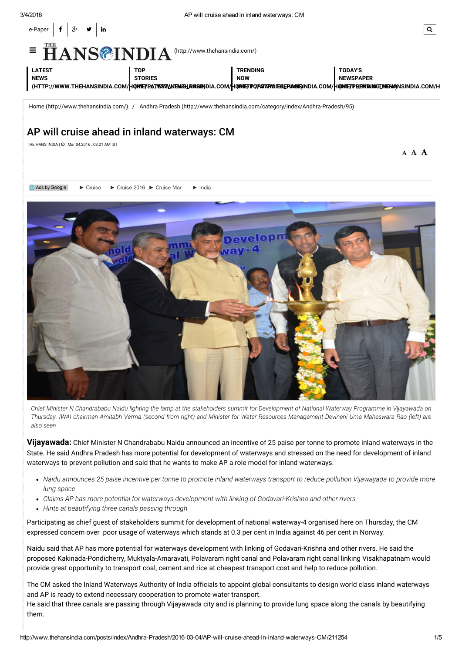

Home [\(http://www.thehansindia.com/\)](http://www.thehansindia.com/) / Andhra Pradesh [\(http://www.thehansindia.com/category/index/Andhra-Pradesh/95\)](http://www.thehansindia.com/category/index/Andhra-Pradesh/95)

## AP will cruise ahead in inland waterways: CM

THE HANS INDIA |  $\odot$  Mar 04.2016 , 03:21 AM IST

A A A

Ads by Google ► [Cruise](https://googleads.g.doubleclick.net/pagead/ads?client=ca-pub-3776126485030538&format=fpkc_al_lp&output=html&h=15&slotname=4111819190&adk=1637465774&w=468&lmt=1457087497&flash=20.0.0&url=http%3A%2F%2Fwww.thehansindia.com%2Fposts%2Findex%2FAndhra-Pradesh%2F2016-03-04%2FAP-will-cruise-ahead-in-inland-waterways-CM%2F211254&wgl=1&dt=1457087494939&bpp=24&bdt=2770&fdt=1543&idt=2346&shv=r20160301&cbv=r20151006&saldr=aa&prev_fmts=468x15_0ads_al&correlator=7625538977793&frm=20&ga_vid=*&ga_sid=*&ga_hid=*&ga_fc=1&pv=1&iag=3&icsg=2&nhd=1&dssz=2&mdo=0&mso=0&u_tz=330&u_his=2&u_java=0&u_h=768&u_w=1366&u_ah=728&u_aw=1366&u_cd=24&u_nplug=5&u_nmime=7&dff=roboto&dfs=14&biw=1349&bih=643&eid=575144605&ref=http%3A%2F%2Fwww.thehansindia.com%2Fposts%2Findex%2FAndhra-Pradesh%2F2016-03-04%2FAP-will-cruise-ahead-in-inland-waterways-CM%2F211254&rx=0&eae=0&fc=208&pc=1&brdim=0%2C0%2C0%2C0%2C1366%2C0%2C1366%2C728%2C1366%2C643&vis=2&rsz=%7Cd%7C%7C&abl=NS&ppjl=f&pfx=0&fu=144&bc=1&ifi=2&xpc=7WiAZ0mkIP&p=http%3A//www.thehansindia.com&dtd=2381&rl_rc=true&adsense_enabled=true&ad_type=text&oe=utf8&height=5&width=1&f=lora&kw_type=radlink&hl=en&kw0=Cruise&kw1=Cruise+2016&kw2=Cruise+Mar&kw3=India&okw=Cruise&rt=ChBW2WQHAA1HGQpoFQeqDSLcEgZDcnVpc2UaCOaBqoy1DnVtKAFSEwjCwN_06abLAhWXoGgKHX0iCNE) ► [Cruise](https://googleads.g.doubleclick.net/pagead/ads?client=ca-pub-3776126485030538&format=fpkc_al_lp&output=html&h=15&slotname=4111819190&adk=1637465774&w=468&lmt=1457087497&flash=20.0.0&url=http%3A%2F%2Fwww.thehansindia.com%2Fposts%2Findex%2FAndhra-Pradesh%2F2016-03-04%2FAP-will-cruise-ahead-in-inland-waterways-CM%2F211254&wgl=1&dt=1457087494939&bpp=24&bdt=2770&fdt=1543&idt=2346&shv=r20160301&cbv=r20151006&saldr=aa&prev_fmts=468x15_0ads_al&correlator=7625538977793&frm=20&ga_vid=*&ga_sid=*&ga_hid=*&ga_fc=1&pv=1&iag=3&icsg=2&nhd=1&dssz=2&mdo=0&mso=0&u_tz=330&u_his=2&u_java=0&u_h=768&u_w=1366&u_ah=728&u_aw=1366&u_cd=24&u_nplug=5&u_nmime=7&dff=roboto&dfs=14&biw=1349&bih=643&eid=575144605&ref=http%3A%2F%2Fwww.thehansindia.com%2Fposts%2Findex%2FAndhra-Pradesh%2F2016-03-04%2FAP-will-cruise-ahead-in-inland-waterways-CM%2F211254&rx=0&eae=0&fc=208&pc=1&brdim=0%2C0%2C0%2C0%2C1366%2C0%2C1366%2C728%2C1366%2C643&vis=2&rsz=%7Cd%7C%7C&abl=NS&ppjl=f&pfx=0&fu=144&bc=1&ifi=2&xpc=7WiAZ0mkIP&p=http%3A//www.thehansindia.com&dtd=2381&rl_rc=true&adsense_enabled=true&ad_type=text&oe=utf8&height=5&width=1&f=lora&kw_type=radlink&hl=en&kw0=Cruise&kw1=Cruise+2016&kw2=Cruise+Mar&kw3=India&okw=Cruise+2016&rt=ChBW2WQHAA1HJApoFQeqDSLcEgtDcnVpc2UgMjAxNhoIw731uPnE0MooAVITCMLA3_TppssCFZegaAodfSII0Q) 2016 ► [Cruise](https://googleads.g.doubleclick.net/pagead/ads?client=ca-pub-3776126485030538&format=fpkc_al_lp&output=html&h=15&slotname=4111819190&adk=1637465774&w=468&lmt=1457087497&flash=20.0.0&url=http%3A%2F%2Fwww.thehansindia.com%2Fposts%2Findex%2FAndhra-Pradesh%2F2016-03-04%2FAP-will-cruise-ahead-in-inland-waterways-CM%2F211254&wgl=1&dt=1457087494939&bpp=24&bdt=2770&fdt=1543&idt=2346&shv=r20160301&cbv=r20151006&saldr=aa&prev_fmts=468x15_0ads_al&correlator=7625538977793&frm=20&ga_vid=*&ga_sid=*&ga_hid=*&ga_fc=1&pv=1&iag=3&icsg=2&nhd=1&dssz=2&mdo=0&mso=0&u_tz=330&u_his=2&u_java=0&u_h=768&u_w=1366&u_ah=728&u_aw=1366&u_cd=24&u_nplug=5&u_nmime=7&dff=roboto&dfs=14&biw=1349&bih=643&eid=575144605&ref=http%3A%2F%2Fwww.thehansindia.com%2Fposts%2Findex%2FAndhra-Pradesh%2F2016-03-04%2FAP-will-cruise-ahead-in-inland-waterways-CM%2F211254&rx=0&eae=0&fc=208&pc=1&brdim=0%2C0%2C0%2C0%2C1366%2C0%2C1366%2C728%2C1366%2C643&vis=2&rsz=%7Cd%7C%7C&abl=NS&ppjl=f&pfx=0&fu=144&bc=1&ifi=2&xpc=7WiAZ0mkIP&p=http%3A//www.thehansindia.com&dtd=2381&rl_rc=true&adsense_enabled=true&ad_type=text&oe=utf8&height=5&width=1&f=lora&kw_type=radlink&hl=en&kw0=Cruise&kw1=Cruise+2016&kw2=Cruise+Mar&kw3=India&okw=Cruise+Mar&rt=ChBW2WQHAA1HJQpoFQeqDSLcEgpDcnVpc2UgTWFyGgg4evwRtxrZ3CgBUhMIwsDf9OmmywIVl6BoCh19IgjR) Mar ► [India](https://googleads.g.doubleclick.net/pagead/ads?client=ca-pub-3776126485030538&format=fpkc_al_lp&output=html&h=15&slotname=4111819190&adk=1637465774&w=468&lmt=1457087497&flash=20.0.0&url=http%3A%2F%2Fwww.thehansindia.com%2Fposts%2Findex%2FAndhra-Pradesh%2F2016-03-04%2FAP-will-cruise-ahead-in-inland-waterways-CM%2F211254&wgl=1&dt=1457087494939&bpp=24&bdt=2770&fdt=1543&idt=2346&shv=r20160301&cbv=r20151006&saldr=aa&prev_fmts=468x15_0ads_al&correlator=7625538977793&frm=20&ga_vid=*&ga_sid=*&ga_hid=*&ga_fc=1&pv=1&iag=3&icsg=2&nhd=1&dssz=2&mdo=0&mso=0&u_tz=330&u_his=2&u_java=0&u_h=768&u_w=1366&u_ah=728&u_aw=1366&u_cd=24&u_nplug=5&u_nmime=7&dff=roboto&dfs=14&biw=1349&bih=643&eid=575144605&ref=http%3A%2F%2Fwww.thehansindia.com%2Fposts%2Findex%2FAndhra-Pradesh%2F2016-03-04%2FAP-will-cruise-ahead-in-inland-waterways-CM%2F211254&rx=0&eae=0&fc=208&pc=1&brdim=0%2C0%2C0%2C0%2C1366%2C0%2C1366%2C728%2C1366%2C643&vis=2&rsz=%7Cd%7C%7C&abl=NS&ppjl=f&pfx=0&fu=144&bc=1&ifi=2&xpc=7WiAZ0mkIP&p=http%3A//www.thehansindia.com&dtd=2381&rl_rc=true&adsense_enabled=true&ad_type=text&oe=utf8&height=5&width=1&f=lora&kw_type=radlink&hl=en&kw0=Cruise&kw1=Cruise+2016&kw2=Cruise+Mar&kw3=India&okw=India&rt=ChBW2WQHAA1HJwpoFQeqDSLcEgVJbmRpYRoIuKnc-nJIL_koAVITCMLA3_TppssCFZegaAodfSII0Q)



Chief Minister N Chandrababu Naidu lighting the lamp at the stakeholders summit for Development of National Waterway Programme in Vijayawada on Thursday. IWAI chairman Amitabh Verma (second from right) and Minister for Water Resources Management Devineni Uma Maheswara Rao (left) are also seen

Vijayawada: Chief Minister N Chandrababu Naidu announced an incentive of 25 paise per tonne to promote inland waterways in the State. He said Andhra Pradesh has more potential for development of waterways and stressed on the need for development of inland waterways to prevent pollution and said that he wants to make AP a role model for inland waterways.

- Naidu announces 25 paise incentive per tonne to promote inland waterways transport to reduce pollution Vijawayada to provide more lung space
- Claims AP has more potential for waterways development with linking of Godavari-Krishna and other rivers
- Hints at beautifying three canals passing through

Participating as chief guest of stakeholders summit for development of national waterway-4 organised here on Thursday, the CM expressed concern over poor usage of waterways which stands at 0.3 per cent in India against 46 per cent in Norway.

Naidu said that AP has more potential for waterways development with linking of Godavari-Krishna and other rivers. He said the proposed Kakinada-Pondicherry, Muktyala-Amaravati, Polavaram right canal and Polavaram right canal linking Visakhapatnam would provide great opportunity to transport coal, cement and rice at cheapest transport cost and help to reduce pollution.

The CM asked the Inland Waterways Authority of India officials to appoint global consultants to design world class inland waterways and AP is ready to extend necessary cooperation to promote water transport.

He said that three canals are passing through Vijayawada city and is planning to provide lung space along the canals by beautifying them.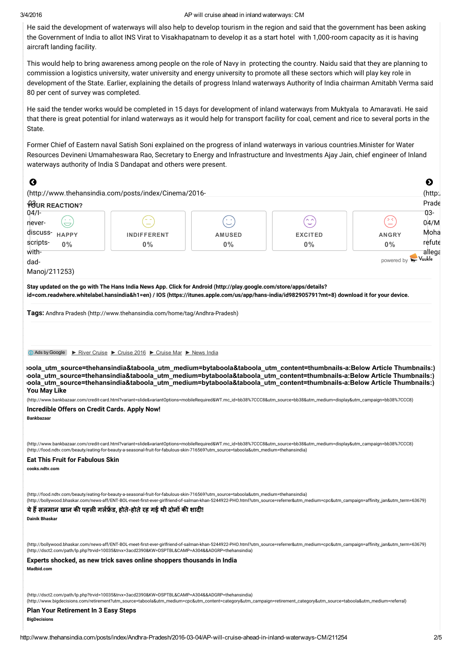#### 3/4/2016 AP will cruise ahead in inland waterways: CM

He said the development of waterways will also help to develop tourism in the region and said that the government has been asking the Government of India to allot INS Virat to Visakhapatnam to develop it as a start hotel with 1,000-room capacity as it is having aircraft landing facility.

This would help to bring awareness among people on the role of Navy in protecting the country. Naidu said that they are planning to commission a logistics university, water university and energy university to promote all these sectors which will play key role in development of the State. Earlier, explaining the details of progress Inland waterways Authority of India chairman Amitabh Verma said 80 per cent of survey was completed.

He said the tender works would be completed in 15 days for development of inland waterways from Muktyala to Amaravati. He said that there is great potential for inland waterways as it would help for transport facility for coal, cement and rice to several ports in the State.

Former Chief of Eastern naval Satish Soni explained on the progress of inland waterways in various countries.Minister for Water Resources Devineni Umamaheswara Rao, Secretary to Energy and Infrastructure and Investments Ajay Jain, chief engineer of Inland waterways authority of India S Dandapat and others were present.